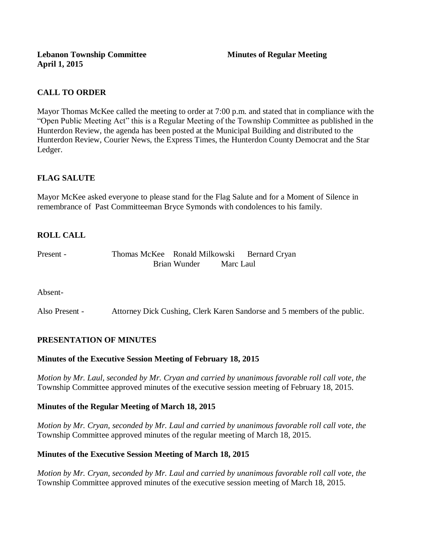**Lebanon Township Committee 3 All Minutes of Regular Meeting April 1, 2015**

## **CALL TO ORDER**

Mayor Thomas McKee called the meeting to order at 7:00 p.m. and stated that in compliance with the "Open Public Meeting Act" this is a Regular Meeting of the Township Committee as published in the Hunterdon Review, the agenda has been posted at the Municipal Building and distributed to the Hunterdon Review, Courier News, the Express Times, the Hunterdon County Democrat and the Star Ledger.

# **FLAG SALUTE**

Mayor McKee asked everyone to please stand for the Flag Salute and for a Moment of Silence in remembrance of Past Committeeman Bryce Symonds with condolences to his family.

# **ROLL CALL**

| Present - | Thomas McKee Ronald Milkowski |              |           | <b>Bernard Cryan</b> |
|-----------|-------------------------------|--------------|-----------|----------------------|
|           |                               | Brian Wunder | Marc Laul |                      |

Absent-

Also Present - Attorney Dick Cushing, Clerk Karen Sandorse and 5 members of the public.

### **PRESENTATION OF MINUTES**

### **Minutes of the Executive Session Meeting of February 18, 2015**

*Motion by Mr. Laul, seconded by Mr. Cryan and carried by unanimous favorable roll call vote, the*  Township Committee approved minutes of the executive session meeting of February 18, 2015.

### **Minutes of the Regular Meeting of March 18, 2015**

*Motion by Mr. Cryan, seconded by Mr. Laul and carried by unanimous favorable roll call vote, the*  Township Committee approved minutes of the regular meeting of March 18, 2015.

### **Minutes of the Executive Session Meeting of March 18, 2015**

*Motion by Mr. Cryan, seconded by Mr. Laul and carried by unanimous favorable roll call vote, the*  Township Committee approved minutes of the executive session meeting of March 18, 2015.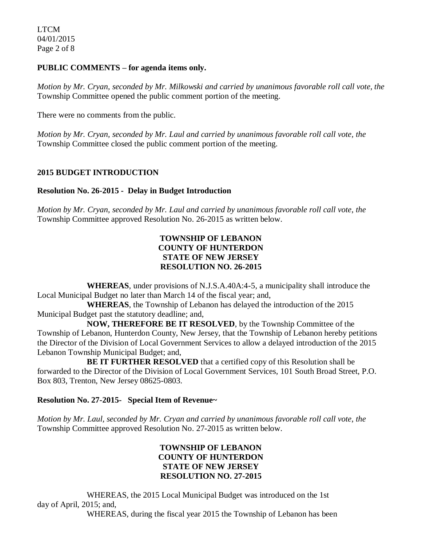## **PUBLIC COMMENTS – for agenda items only.**

*Motion by Mr. Cryan, seconded by Mr. Milkowski and carried by unanimous favorable roll call vote, the* Township Committee opened the public comment portion of the meeting.

There were no comments from the public.

*Motion by Mr. Cryan, seconded by Mr. Laul and carried by unanimous favorable roll call vote, the* Township Committee closed the public comment portion of the meeting.

## **2015 BUDGET INTRODUCTION**

### **Resolution No. 26-2015 - Delay in Budget Introduction**

*Motion by Mr. Cryan, seconded by Mr. Laul and carried by unanimous favorable roll call vote*, *the* Township Committee approved Resolution No. 26-2015 as written below.

## **TOWNSHIP OF LEBANON COUNTY OF HUNTERDON STATE OF NEW JERSEY RESOLUTION NO. 26-2015**

**WHEREAS**, under provisions of N.J.S.A.40A:4-5, a municipality shall introduce the Local Municipal Budget no later than March 14 of the fiscal year; and,

**WHEREAS**, the Township of Lebanon has delayed the introduction of the 2015 Municipal Budget past the statutory deadline; and,

**NOW, THEREFORE BE IT RESOLVED**, by the Township Committee of the Township of Lebanon, Hunterdon County, New Jersey, that the Township of Lebanon hereby petitions the Director of the Division of Local Government Services to allow a delayed introduction of the 2015 Lebanon Township Municipal Budget; and,

**BE IT FURTHER RESOLVED** that a certified copy of this Resolution shall be forwarded to the Director of the Division of Local Government Services, 101 South Broad Street, P.O. Box 803, Trenton, New Jersey 08625-0803.

### **Resolution No. 27-2015- Special Item of Revenue~**

*Motion by Mr. Laul, seconded by Mr. Cryan and carried by unanimous favorable roll call vote*, *the* Township Committee approved Resolution No. 27-2015 as written below.

## **TOWNSHIP OF LEBANON COUNTY OF HUNTERDON STATE OF NEW JERSEY RESOLUTION NO. 27-2015**

WHEREAS, the 2015 Local Municipal Budget was introduced on the 1st day of April, 2015; and,

WHEREAS, during the fiscal year 2015 the Township of Lebanon has been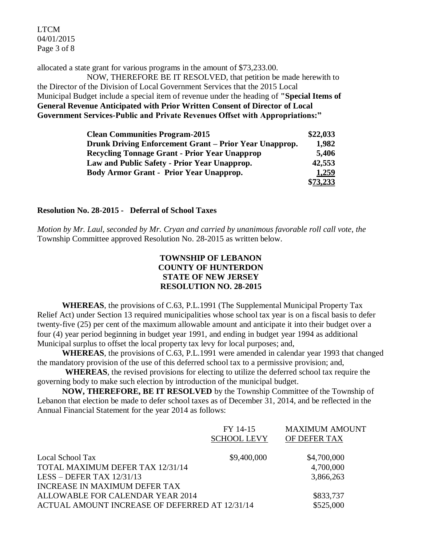LTCM 04/01/2015 Page 3 of 8

allocated a state grant for various programs in the amount of \$73,233.00.

NOW, THEREFORE BE IT RESOLVED, that petition be made herewith to the Director of the Division of Local Government Services that the 2015 Local Municipal Budget include a special item of revenue under the heading of **"Special Items of General Revenue Anticipated with Prior Written Consent of Director of Local Government Services-Public and Private Revenues Offset with Appropriations:"**

| <b>Clean Communities Program-2015</b>                  | \$22,033 |
|--------------------------------------------------------|----------|
| Drunk Driving Enforcement Grant - Prior Year Unapprop. | 1,982    |
| <b>Recycling Tonnage Grant - Prior Year Unapprop</b>   | 5,406    |
| Law and Public Safety - Prior Year Unapprop.           | 42,553   |
| <b>Body Armor Grant - Prior Year Unapprop.</b>         | 1,259    |
|                                                        | \$73.233 |

#### **Resolution No. 28-2015 - Deferral of School Taxes**

*Motion by Mr. Laul, seconded by Mr. Cryan and carried by unanimous favorable roll call vote*, *the* Township Committee approved Resolution No. 28-2015 as written below.

# **TOWNSHIP OF LEBANON COUNTY OF HUNTERDON STATE OF NEW JERSEY RESOLUTION NO. 28-2015**

**WHEREAS**, the provisions of C.63, P.L.1991 (The Supplemental Municipal Property Tax Relief Act) under Section 13 required municipalities whose school tax year is on a fiscal basis to defer twenty-five (25) per cent of the maximum allowable amount and anticipate it into their budget over a four (4) year period beginning in budget year 1991, and ending in budget year 1994 as additional Municipal surplus to offset the local property tax levy for local purposes; and,

**WHEREAS**, the provisions of C.63, P.L.1991 were amended in calendar year 1993 that changed the mandatory provision of the use of this deferred school tax to a permissive provision; and,

**WHEREAS**, the revised provisions for electing to utilize the deferred school tax require the governing body to make such election by introduction of the municipal budget.

**NOW, THEREFORE, BE IT RESOLVED** by the Township Committee of the Township of Lebanon that election be made to defer school taxes as of December 31, 2014, and be reflected in the Annual Financial Statement for the year 2014 as follows:

|                                                | FY 14-15<br><b>SCHOOL LEVY</b> | <b>MAXIMUM AMOUNT</b><br>OF DEFER TAX |
|------------------------------------------------|--------------------------------|---------------------------------------|
| Local School Tax                               | \$9,400,000                    | \$4,700,000                           |
| TOTAL MAXIMUM DEFER TAX 12/31/14               |                                | 4,700,000                             |
| LESS – DEFER TAX $12/31/13$                    |                                | 3,866,263                             |
| INCREASE IN MAXIMUM DEFER TAX                  |                                |                                       |
| ALLOWABLE FOR CALENDAR YEAR 2014               | \$833,737                      |                                       |
| ACTUAL AMOUNT INCREASE OF DEFERRED AT 12/31/14 |                                | \$525,000                             |
|                                                |                                |                                       |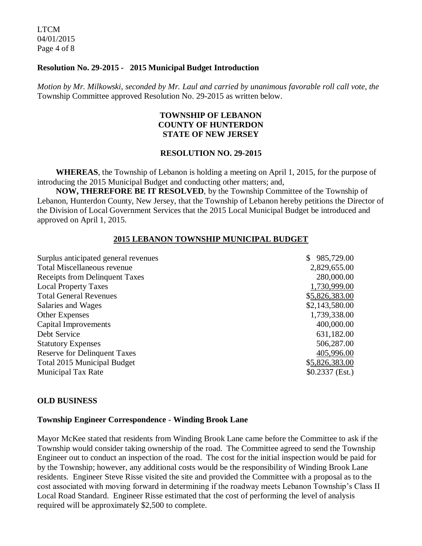LTCM 04/01/2015 Page 4 of 8

#### **Resolution No. 29-2015 - 2015 Municipal Budget Introduction**

*Motion by Mr. Milkowski, seconded by Mr. Laul and carried by unanimous favorable roll call vote*, *the* Township Committee approved Resolution No. 29-2015 as written below.

## **TOWNSHIP OF LEBANON COUNTY OF HUNTERDON STATE OF NEW JERSEY**

#### **RESOLUTION NO. 29-2015**

 **WHEREAS**, the Township of Lebanon is holding a meeting on April 1, 2015, for the purpose of introducing the 2015 Municipal Budget and conducting other matters; and,

 **NOW, THEREFORE BE IT RESOLVED**, by the Township Committee of the Township of Lebanon, Hunterdon County, New Jersey, that the Township of Lebanon hereby petitions the Director of the Division of Local Government Services that the 2015 Local Municipal Budget be introduced and approved on April 1, 2015.

#### **2015 LEBANON TOWNSHIP MUNICIPAL BUDGET**

| Surplus anticipated general revenues  | 985,729.00       |
|---------------------------------------|------------------|
| <b>Total Miscellaneous revenue</b>    | 2,829,655.00     |
| <b>Receipts from Delinquent Taxes</b> | 280,000.00       |
| <b>Local Property Taxes</b>           | 1,730,999.00     |
| <b>Total General Revenues</b>         | \$5,826,383.00   |
| Salaries and Wages                    | \$2,143,580.00   |
| <b>Other Expenses</b>                 | 1,739,338.00     |
| Capital Improvements                  | 400,000.00       |
| Debt Service                          | 631,182.00       |
| <b>Statutory Expenses</b>             | 506,287.00       |
| <b>Reserve for Delinquent Taxes</b>   | 405,996.00       |
| <b>Total 2015 Municipal Budget</b>    | \$5,826,383.00   |
| <b>Municipal Tax Rate</b>             | $$0.2337$ (Est.) |
|                                       |                  |

#### **OLD BUSINESS**

#### **Township Engineer Correspondence - Winding Brook Lane**

Mayor McKee stated that residents from Winding Brook Lane came before the Committee to ask if the Township would consider taking ownership of the road. The Committee agreed to send the Township Engineer out to conduct an inspection of the road. The cost for the initial inspection would be paid for by the Township; however, any additional costs would be the responsibility of Winding Brook Lane residents. Engineer Steve Risse visited the site and provided the Committee with a proposal as to the cost associated with moving forward in determining if the roadway meets Lebanon Township's Class II Local Road Standard. Engineer Risse estimated that the cost of performing the level of analysis required will be approximately \$2,500 to complete.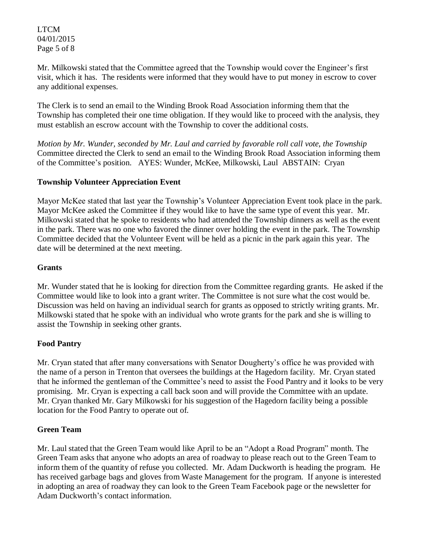LTCM 04/01/2015 Page 5 of 8

Mr. Milkowski stated that the Committee agreed that the Township would cover the Engineer's first visit, which it has. The residents were informed that they would have to put money in escrow to cover any additional expenses.

The Clerk is to send an email to the Winding Brook Road Association informing them that the Township has completed their one time obligation. If they would like to proceed with the analysis, they must establish an escrow account with the Township to cover the additional costs.

*Motion by Mr. Wunder, seconded by Mr. Laul and carried by favorable roll call vote*, *the Township* Committee directed the Clerk to send an email to the Winding Brook Road Association informing them of the Committee's position. AYES: Wunder, McKee, Milkowski, Laul ABSTAIN: Cryan

# **Township Volunteer Appreciation Event**

Mayor McKee stated that last year the Township's Volunteer Appreciation Event took place in the park. Mayor McKee asked the Committee if they would like to have the same type of event this year. Mr. Milkowski stated that he spoke to residents who had attended the Township dinners as well as the event in the park. There was no one who favored the dinner over holding the event in the park. The Township Committee decided that the Volunteer Event will be held as a picnic in the park again this year. The date will be determined at the next meeting.

## **Grants**

Mr. Wunder stated that he is looking for direction from the Committee regarding grants. He asked if the Committee would like to look into a grant writer. The Committee is not sure what the cost would be. Discussion was held on having an individual search for grants as opposed to strictly writing grants. Mr. Milkowski stated that he spoke with an individual who wrote grants for the park and she is willing to assist the Township in seeking other grants.

## **Food Pantry**

Mr. Cryan stated that after many conversations with Senator Dougherty's office he was provided with the name of a person in Trenton that oversees the buildings at the Hagedorn facility. Mr. Cryan stated that he informed the gentleman of the Committee's need to assist the Food Pantry and it looks to be very promising. Mr. Cryan is expecting a call back soon and will provide the Committee with an update. Mr. Cryan thanked Mr. Gary Milkowski for his suggestion of the Hagedorn facility being a possible location for the Food Pantry to operate out of.

## **Green Team**

Mr. Laul stated that the Green Team would like April to be an "Adopt a Road Program" month. The Green Team asks that anyone who adopts an area of roadway to please reach out to the Green Team to inform them of the quantity of refuse you collected. Mr. Adam Duckworth is heading the program. He has received garbage bags and gloves from Waste Management for the program. If anyone is interested in adopting an area of roadway they can look to the Green Team Facebook page or the newsletter for Adam Duckworth's contact information.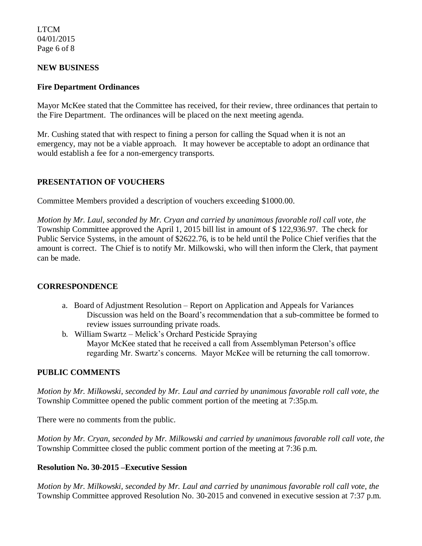LTCM 04/01/2015 Page 6 of 8

## **NEW BUSINESS**

## **Fire Department Ordinances**

Mayor McKee stated that the Committee has received, for their review, three ordinances that pertain to the Fire Department. The ordinances will be placed on the next meeting agenda.

Mr. Cushing stated that with respect to fining a person for calling the Squad when it is not an emergency, may not be a viable approach. It may however be acceptable to adopt an ordinance that would establish a fee for a non-emergency transports.

## **PRESENTATION OF VOUCHERS**

Committee Members provided a description of vouchers exceeding \$1000.00.

*Motion by Mr. Laul, seconded by Mr. Cryan and carried by unanimous favorable roll call vote, the* Township Committee approved the April 1, 2015 bill list in amount of \$ 122,936.97. The check for Public Service Systems, in the amount of \$2622.76, is to be held until the Police Chief verifies that the amount is correct. The Chief is to notify Mr. Milkowski, who will then inform the Clerk, that payment can be made.

### **CORRESPONDENCE**

- a. Board of Adjustment Resolution Report on Application and Appeals for Variances Discussion was held on the Board's recommendation that a sub-committee be formed to review issues surrounding private roads.
- b. William Swartz Melick's Orchard Pesticide Spraying Mayor McKee stated that he received a call from Assemblyman Peterson's office regarding Mr. Swartz's concerns. Mayor McKee will be returning the call tomorrow.

## **PUBLIC COMMENTS**

*Motion by Mr. Milkowski, seconded by Mr. Laul and carried by unanimous favorable roll call vote, the* Township Committee opened the public comment portion of the meeting at 7:35p.m.

There were no comments from the public.

*Motion by Mr. Cryan, seconded by Mr. Milkowski and carried by unanimous favorable roll call vote, the* Township Committee closed the public comment portion of the meeting at 7:36 p.m.

### **Resolution No. 30-2015 –Executive Session**

*Motion by Mr. Milkowski, seconded by Mr. Laul and carried by unanimous favorable roll call vote, the* Township Committee approved Resolution No. 30-2015 and convened in executive session at 7:37 p.m.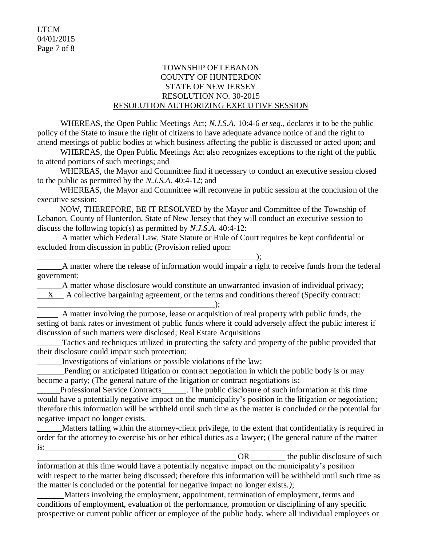## TOWNSHIP OF LEBANON COUNTY OF HUNTERDON STATE OF NEW JERSEY RESOLUTION NO. 30-2015 RESOLUTION AUTHORIZING EXECUTIVE SESSION

WHEREAS, the Open Public Meetings Act; *N.J.S.A.* 10:4-6 *et seq*., declares it to be the public policy of the State to insure the right of citizens to have adequate advance notice of and the right to attend meetings of public bodies at which business affecting the public is discussed or acted upon; and

WHEREAS, the Open Public Meetings Act also recognizes exceptions to the right of the public to attend portions of such meetings; and

 WHEREAS, the Mayor and Committee find it necessary to conduct an executive session closed to the public as permitted by the *N.J.S.A*. 40:4-12; and

 WHEREAS, the Mayor and Committee will reconvene in public session at the conclusion of the executive session;

 NOW, THEREFORE, BE IT RESOLVED by the Mayor and Committee of the Township of Lebanon, County of Hunterdon, State of New Jersey that they will conduct an executive session to discuss the following topic(s) as permitted by *N.J.S.A*. 40:4-12:

A matter which Federal Law, State Statute or Rule of Court requires be kept confidential or excluded from discussion in public (Provision relied upon:

A matter where the release of information would impair a right to receive funds from the federal government;

\_\_\_\_\_\_A matter whose disclosure would constitute an unwarranted invasion of individual privacy; X A collective bargaining agreement, or the terms and conditions thereof (Specify contract:

\_\_\_\_\_\_\_\_\_\_\_\_\_\_\_\_\_\_\_\_\_\_\_\_\_\_\_\_\_\_\_\_\_\_\_\_\_\_\_\_\_\_\_); A matter involving the purpose, lease or acquisition of real property with public funds, the setting of bank rates or investment of public funds where it could adversely affect the public interest if discussion of such matters were disclosed; Real Estate Acquisitions

Tactics and techniques utilized in protecting the safety and property of the public provided that their disclosure could impair such protection;

\_\_\_\_\_\_Investigations of violations or possible violations of the law;

\_\_\_\_\_\_\_\_\_\_\_\_\_\_\_\_\_\_\_\_\_\_\_\_\_\_\_\_\_\_\_\_\_\_\_\_\_\_\_\_\_\_\_\_\_\_\_\_\_\_\_\_\_);

 Pending or anticipated litigation or contract negotiation in which the public body is or may become a party; (The general nature of the litigation or contract negotiations is**:**

Professional Service Contracts\_\_\_\_\_\_. The public disclosure of such information at this time would have a potentially negative impact on the municipality's position in the litigation or negotiation; therefore this information will be withheld until such time as the matter is concluded or the potential for negative impact no longer exists.

 Matters falling within the attorney-client privilege, to the extent that confidentiality is required in order for the attorney to exercise his or her ethical duties as a lawyer; (The general nature of the matter is:

OR the public disclosure of such information at this time would have a potentially negative impact on the municipality's position with respect to the matter being discussed; therefore this information will be withheld until such time as the matter is concluded or the potential for negative impact no longer exists.*)*;

 Matters involving the employment, appointment, termination of employment, terms and conditions of employment, evaluation of the performance, promotion or disciplining of any specific prospective or current public officer or employee of the public body, where all individual employees or